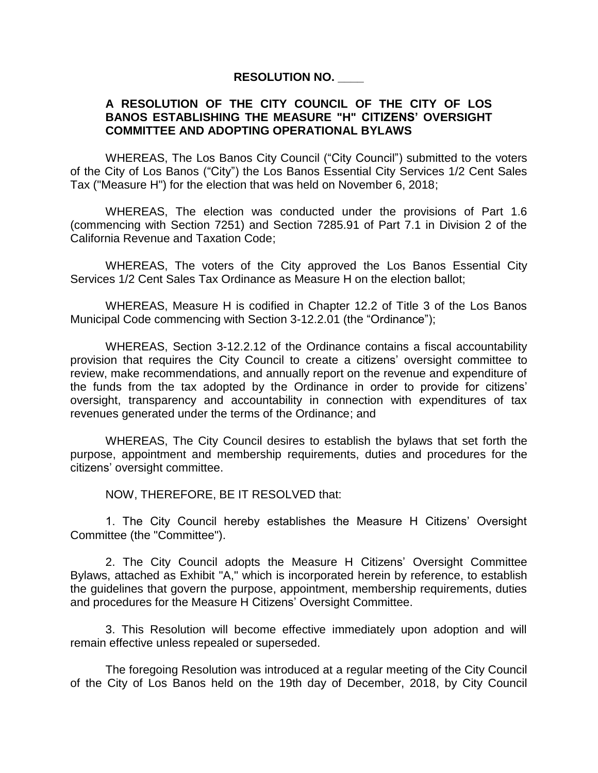#### **RESOLUTION NO. \_\_\_\_**

#### **A RESOLUTION OF THE CITY COUNCIL OF THE CITY OF LOS BANOS ESTABLISHING THE MEASURE "H" CITIZENS' OVERSIGHT COMMITTEE AND ADOPTING OPERATIONAL BYLAWS**

WHEREAS, The Los Banos City Council ("City Council") submitted to the voters of the City of Los Banos ("City") the Los Banos Essential City Services 1/2 Cent Sales Tax ("Measure H") for the election that was held on November 6, 2018;

WHEREAS, The election was conducted under the provisions of Part 1.6 (commencing with Section 7251) and Section 7285.91 of Part 7.1 in Division 2 of the California Revenue and Taxation Code;

WHEREAS, The voters of the City approved the Los Banos Essential City Services 1/2 Cent Sales Tax Ordinance as Measure H on the election ballot;

WHEREAS, Measure H is codified in Chapter 12.2 of Title 3 of the Los Banos Municipal Code commencing with Section 3-12.2.01 (the "Ordinance");

WHEREAS, Section 3-12.2.12 of the Ordinance contains a fiscal accountability provision that requires the City Council to create a citizens' oversight committee to review, make recommendations, and annually report on the revenue and expenditure of the funds from the tax adopted by the Ordinance in order to provide for citizens' oversight, transparency and accountability in connection with expenditures of tax revenues generated under the terms of the Ordinance; and

WHEREAS, The City Council desires to establish the bylaws that set forth the purpose, appointment and membership requirements, duties and procedures for the citizens' oversight committee.

NOW, THEREFORE, BE IT RESOLVED that:

1. The City Council hereby establishes the Measure H Citizens' Oversight Committee (the "Committee").

2. The City Council adopts the Measure H Citizens' Oversight Committee Bylaws, attached as Exhibit "A," which is incorporated herein by reference, to establish the guidelines that govern the purpose, appointment, membership requirements, duties and procedures for the Measure H Citizens' Oversight Committee.

3. This Resolution will become effective immediately upon adoption and will remain effective unless repealed or superseded.

The foregoing Resolution was introduced at a regular meeting of the City Council of the City of Los Banos held on the 19th day of December, 2018, by City Council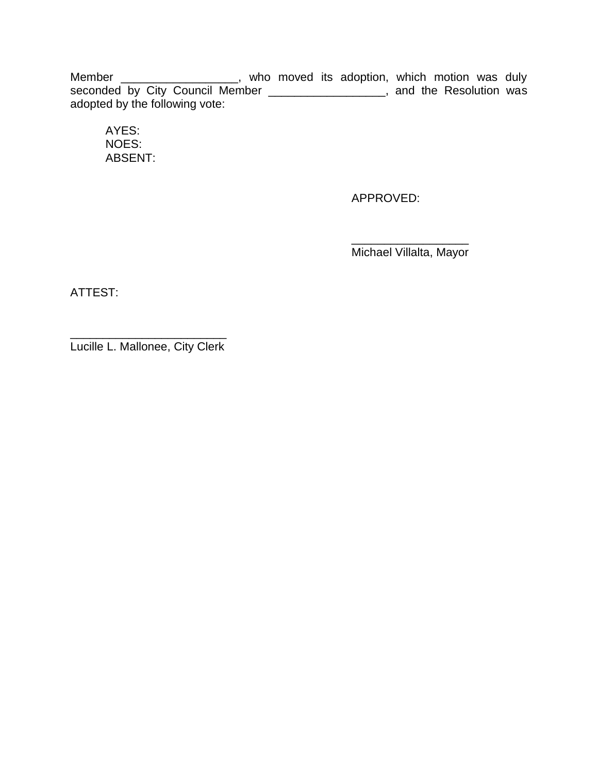Member \_\_\_\_\_\_\_\_\_\_\_\_\_\_\_\_\_\_\_, who moved its adoption, which motion was duly seconded by City Council Member \_\_\_\_\_\_\_\_\_\_\_\_\_\_\_\_\_\_, and the Resolution was adopted by the following vote:

AYES: NOES: ABSENT:

APPROVED:

\_\_\_\_\_\_\_\_\_\_\_\_\_\_\_\_\_\_ Michael Villalta, Mayor

ATTEST:

\_\_\_\_\_\_\_\_\_\_\_\_\_\_\_\_\_\_\_\_\_\_\_\_ Lucille L. Mallonee, City Clerk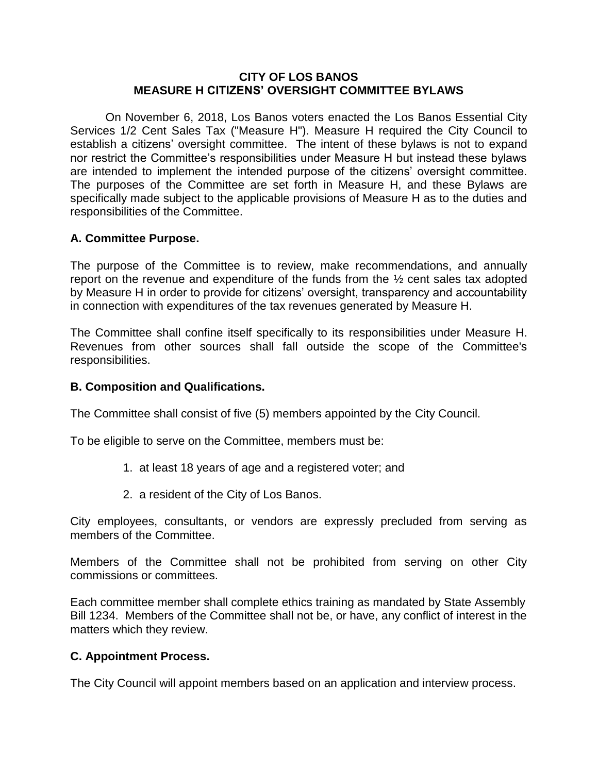#### **CITY OF LOS BANOS MEASURE H CITIZENS' OVERSIGHT COMMITTEE BYLAWS**

On November 6, 2018, Los Banos voters enacted the Los Banos Essential City Services 1/2 Cent Sales Tax ("Measure H"). Measure H required the City Council to establish a citizens' oversight committee. The intent of these bylaws is not to expand nor restrict the Committee's responsibilities under Measure H but instead these bylaws are intended to implement the intended purpose of the citizens' oversight committee. The purposes of the Committee are set forth in Measure H, and these Bylaws are specifically made subject to the applicable provisions of Measure H as to the duties and responsibilities of the Committee.

# **A. Committee Purpose.**

The purpose of the Committee is to review, make recommendations, and annually report on the revenue and expenditure of the funds from the ½ cent sales tax adopted by Measure H in order to provide for citizens' oversight, transparency and accountability in connection with expenditures of the tax revenues generated by Measure H.

The Committee shall confine itself specifically to its responsibilities under Measure H. Revenues from other sources shall fall outside the scope of the Committee's responsibilities.

### **B. Composition and Qualifications.**

The Committee shall consist of five (5) members appointed by the City Council.

To be eligible to serve on the Committee, members must be:

- 1. at least 18 years of age and a registered voter; and
- 2. a resident of the City of Los Banos.

City employees, consultants, or vendors are expressly precluded from serving as members of the Committee.

Members of the Committee shall not be prohibited from serving on other City commissions or committees.

Each committee member shall complete ethics training as mandated by State Assembly Bill 1234. Members of the Committee shall not be, or have, any conflict of interest in the matters which they review.

# **C. Appointment Process.**

The City Council will appoint members based on an application and interview process.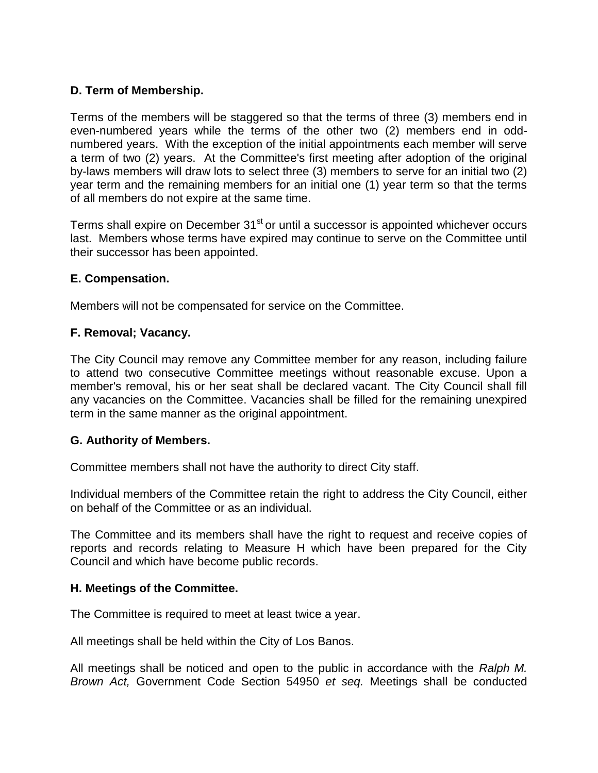# **D. Term of Membership.**

Terms of the members will be staggered so that the terms of three (3) members end in even-numbered years while the terms of the other two (2) members end in oddnumbered years. With the exception of the initial appointments each member will serve a term of two (2) years. At the Committee's first meeting after adoption of the original by-laws members will draw lots to select three (3) members to serve for an initial two (2) year term and the remaining members for an initial one (1) year term so that the terms of all members do not expire at the same time.

Terms shall expire on December 31<sup>st</sup> or until a successor is appointed whichever occurs last. Members whose terms have expired may continue to serve on the Committee until their successor has been appointed.

### **E. Compensation.**

Members will not be compensated for service on the Committee.

### **F. Removal; Vacancy.**

The City Council may remove any Committee member for any reason, including failure to attend two consecutive Committee meetings without reasonable excuse. Upon a member's removal, his or her seat shall be declared vacant. The City Council shall fill any vacancies on the Committee. Vacancies shall be filled for the remaining unexpired term in the same manner as the original appointment.

### **G. Authority of Members.**

Committee members shall not have the authority to direct City staff.

Individual members of the Committee retain the right to address the City Council, either on behalf of the Committee or as an individual.

The Committee and its members shall have the right to request and receive copies of reports and records relating to Measure H which have been prepared for the City Council and which have become public records.

#### **H. Meetings of the Committee.**

The Committee is required to meet at least twice a year.

All meetings shall be held within the City of Los Banos.

All meetings shall be noticed and open to the public in accordance with the *Ralph M. Brown Act,* Government Code Section 54950 *et seq.* Meetings shall be conducted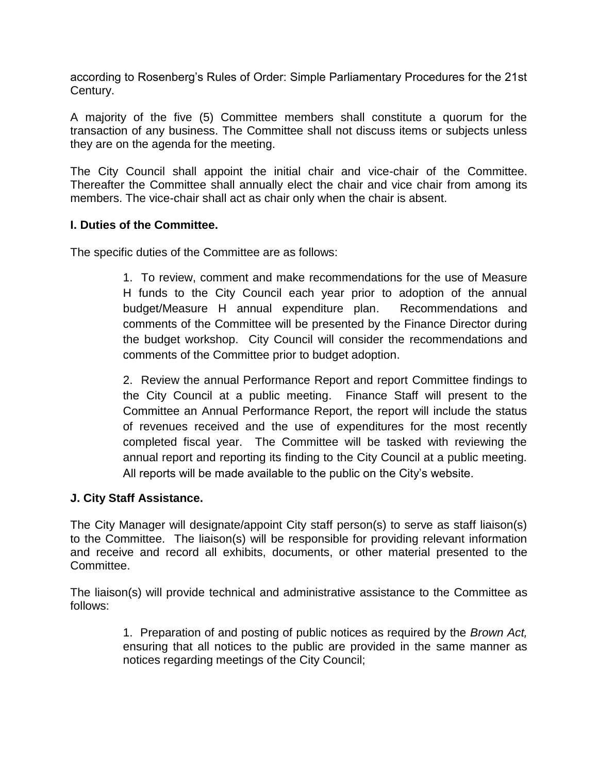according to Rosenberg's Rules of Order: Simple Parliamentary Procedures for the 21st Century.

A majority of the five (5) Committee members shall constitute a quorum for the transaction of any business. The Committee shall not discuss items or subjects unless they are on the agenda for the meeting.

The City Council shall appoint the initial chair and vice-chair of the Committee. Thereafter the Committee shall annually elect the chair and vice chair from among its members. The vice-chair shall act as chair only when the chair is absent.

### **I. Duties of the Committee.**

The specific duties of the Committee are as follows:

1. To review, comment and make recommendations for the use of Measure H funds to the City Council each year prior to adoption of the annual budget/Measure H annual expenditure plan. Recommendations and comments of the Committee will be presented by the Finance Director during the budget workshop. City Council will consider the recommendations and comments of the Committee prior to budget adoption.

2. Review the annual Performance Report and report Committee findings to the City Council at a public meeting. Finance Staff will present to the Committee an Annual Performance Report, the report will include the status of revenues received and the use of expenditures for the most recently completed fiscal year. The Committee will be tasked with reviewing the annual report and reporting its finding to the City Council at a public meeting. All reports will be made available to the public on the City's website.

### **J. City Staff Assistance.**

The City Manager will designate/appoint City staff person(s) to serve as staff liaison(s) to the Committee. The liaison(s) will be responsible for providing relevant information and receive and record all exhibits, documents, or other material presented to the Committee.

The liaison(s) will provide technical and administrative assistance to the Committee as follows:

> 1. Preparation of and posting of public notices as required by the *Brown Act,*  ensuring that all notices to the public are provided in the same manner as notices regarding meetings of the City Council;